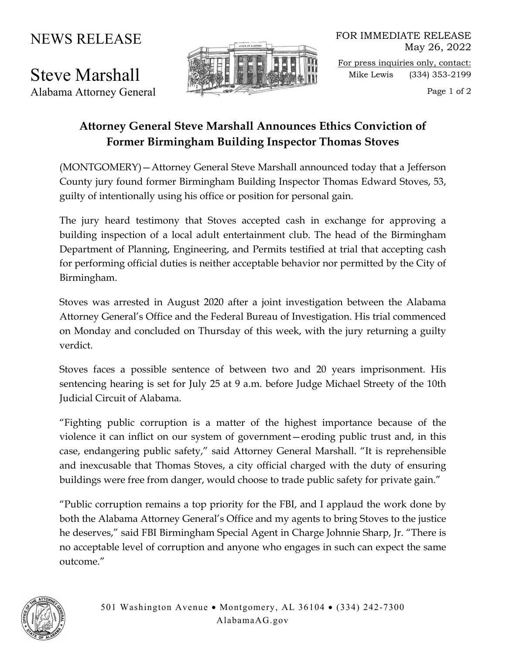## NEWS RELEASE

Steve Marshall Alabama Attorney General



FOR IMMEDIATE RELEASE May 26, 2022 For press inquiries only, contact: Mike Lewis (334) 353-2199

Page 1 of 2

## **Attorney General Steve Marshall Announces Ethics Conviction of Former Birmingham Building Inspector Thomas Stoves**

(MONTGOMERY)—Attorney General Steve Marshall announced today that a Jefferson County jury found former Birmingham Building Inspector Thomas Edward Stoves, 53, guilty of intentionally using his office or position for personal gain.

The jury heard testimony that Stoves accepted cash in exchange for approving a building inspection of a local adult entertainment club. The head of the Birmingham Department of Planning, Engineering, and Permits testified at trial that accepting cash for performing official duties is neither acceptable behavior nor permitted by the City of Birmingham.

Stoves was arrested in August 2020 after a joint investigation between the Alabama Attorney General's Office and the Federal Bureau of Investigation. His trial commenced on Monday and concluded on Thursday of this week, with the jury returning a guilty verdict.

Stoves faces a possible sentence of between two and 20 years imprisonment. His sentencing hearing is set for July 25 at 9 a.m. before Judge Michael Streety of the 10th Judicial Circuit of Alabama.

"Fighting public corruption is a matter of the highest importance because of the violence it can inflict on our system of government—eroding public trust and, in this case, endangering public safety," said Attorney General Marshall. "It is reprehensible and inexcusable that Thomas Stoves, a city official charged with the duty of ensuring buildings were free from danger, would choose to trade public safety for private gain."

"Public corruption remains a top priority for the FBI, and I applaud the work done by both the Alabama Attorney General's Office and my agents to bring Stoves to the justice he deserves," said FBI Birmingham Special Agent in Charge Johnnie Sharp, Jr. "There is no acceptable level of corruption and anyone who engages in such can expect the same outcome."